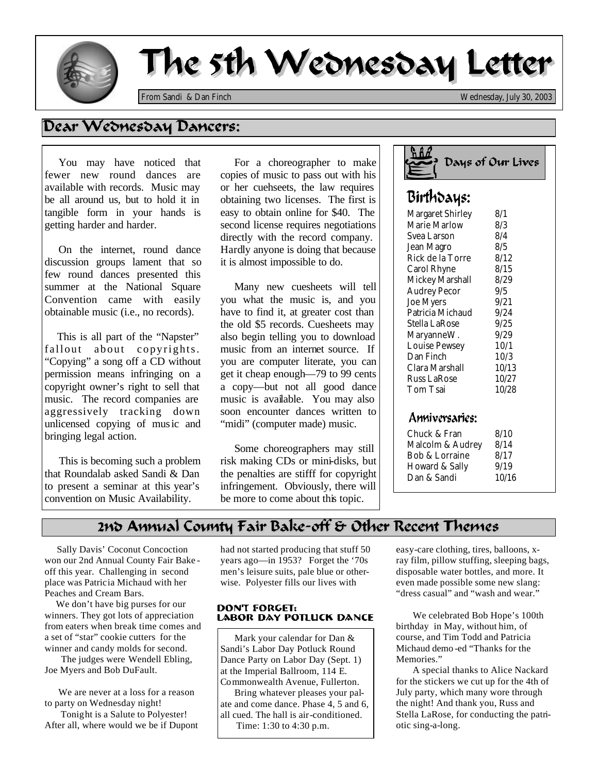

I

# The 5th Wednesday Letter

*From Sandi & Dan Finch Wednesday, July 30, 2003*

## Dear Wednesday Dancers:

 You may have noticed that fewer new round dances are available with records. Music may be all around us, but to hold it in tangible form in your hands is getting harder and harder.

 On the internet, round dance discussion groups lament that so few round dances presented this summer at the National Square Convention came with easily obtainable music (i.e., no records).

This is all part of the "Napster" fallout about copyrights. "Copying" a song off a CD without permission means infringing on a copyright owner's right to sell that music. The record companies are aggressively tracking down unlicensed copying of music and bringing legal action.

 This is becoming such a problem that Roundalab asked Sandi & Dan to present a seminar at this year's convention on Music Availability.

 For a choreographer to make copies of music to pass out with his or her cuehseets, the law requires obtaining two licenses. The first is easy to obtain online for \$40. The second license requires negotiations directly with the record company. Hardly anyone is doing that because it is almost impossible to do.

 Many new cuesheets will tell you what the music is, and you have to find it, at greater cost than the old \$5 records. Cuesheets may also begin telling you to download music from an internet source. If you are computer literate, you can get it cheap enough—79 to 99 cents a copy—but not all good dance music is available. You may also soon encounter dances written to "midi" (computer made) music.

 Some choreographers may still risk making CDs or mini-disks, but the penalties are stifff for copyright infringement. Obviously, there will be more to come about this topic.

| <u>S A A</u> | Days of Our Lives |
|--------------|-------------------|
| Birthdaus:   |                   |

# $M_{\odot}$  Margaret Shirley

| <b>Margaret Shirley</b> | 8/1   |
|-------------------------|-------|
| Marie Marlow            | 8/3   |
| Svea Larson             | 8/4   |
| Jean Magro              | 8/5   |
| Rick de la Torre        | 8/12  |
| Carol Rhyne             | 8/15  |
| Mickey Marshall         | 8/29  |
| <b>Audrey Pecor</b>     | 9/5   |
| <b>Joe Myers</b>        | 9/21  |
| Patricia Michaud        | 9/24  |
| Stella LaRose           | 9/25  |
| MaryanneW.              | 9/29  |
| <b>Louise Pewsey</b>    | 10/1  |
| Dan Finch               | 10/3  |
| Clara Marshall          | 10/13 |
| <b>Russ LaRose</b>      | 10/27 |
| Tom Tsai                | 10/28 |
|                         |       |

#### Anniversaries:

| Chuck & Fran     | 8/10  |
|------------------|-------|
| Malcolm & Audrey | 8/14  |
| Bob & Lorraine   | 8/17  |
| Howard & Sally   | 9/19  |
| Dan & Sandi      | 10/16 |

### 2nd Annual County Fair Bake-off & Other Recent Themes

 Sally Davis' Coconut Concoction won our 2nd Annual County Fair Bake off this year. Challenging in second place was Patricia Michaud with her Peaches and Cream Bars.

 We don't have big purses for our winners. They got lots of appreciation from eaters when break time comes and a set of "star" cookie cutters for the winner and candy molds for second.

 The judges were Wendell Ebling, Joe Myers and Bob DuFault.

 We are never at a loss for a reason to party on Wednesday night!

 Tonight is a Salute to Polyester! After all, where would we be if Dupont had not started producing that stuff 50 years ago—in 1953? Forget the '70s men's leisure suits, pale blue or otherwise. Polyester fills our lives with

#### **DONT FORGET: LABOR DAY POTLUCK DANCE**

 Mark your calendar for Dan & Sandi's Labor Day Potluck Round Dance Party on Labor Day (Sept. 1) at the Imperial Ballroom, 114 E. Commonwealth Avenue, Fullerton.

 Bring whatever pleases your palate and come dance. Phase 4, 5 and 6, all cued. The hall is air-conditioned. Time: 1:30 to 4:30 p.m.

easy-care clothing, tires, balloons, xray film, pillow stuffing, sleeping bags, disposable water bottles, and more. It even made possible some new slang: "dress casual" and "wash and wear."

 We celebrated Bob Hope's 100th birthday in May, without him, of course, and Tim Todd and Patricia Michaud demo -ed "Thanks for the Memories."

 A special thanks to Alice Nackard for the stickers we cut up for the 4th of July party, which many wore through the night! And thank you, Russ and Stella LaRose, for conducting the patriotic sing-a-long.